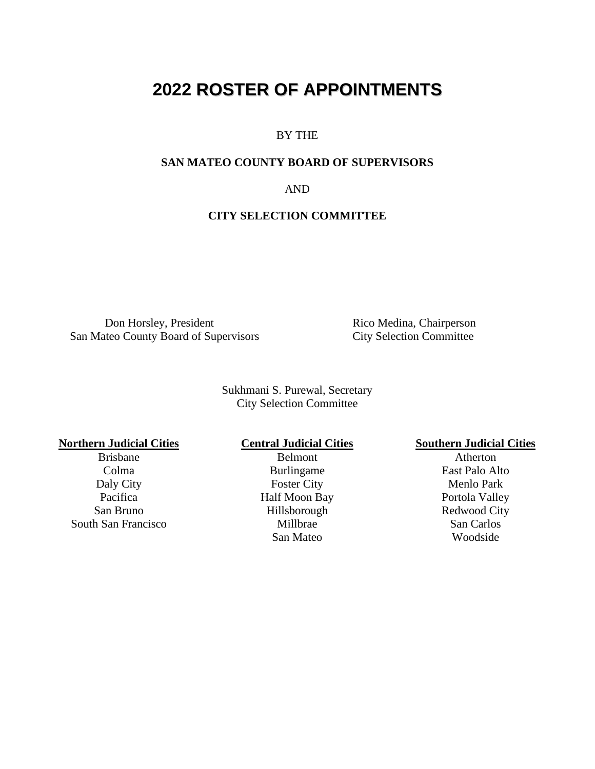## **2022 ROSTER OF APPOINTMENTS**

#### BY THE

#### **SAN MATEO COUNTY BOARD OF SUPERVISORS**

AND

#### **CITY SELECTION COMMITTEE**

Don Horsley, President San Mateo County Board of Supervisors

Rico Medina, Chairperson City Selection Committee

Sukhmani S. Purewal, Secretary City Selection Committee

San Bruno Hillsborough Redwood City South San Francisco

Brisbane Belmont **Belmont** Atherton Colma Burlingame East Palo Alto Daly City Foster City Foster City Menlo Park<br>Pacifica Half Moon Bay Portola Valley Half Moon Bay Portola Valley San Mateo Woodside

# **Northern Judicial Cities**<br>Brisbane **Central Judicial Cities**<br>Belmont **Cities**<br>Atherton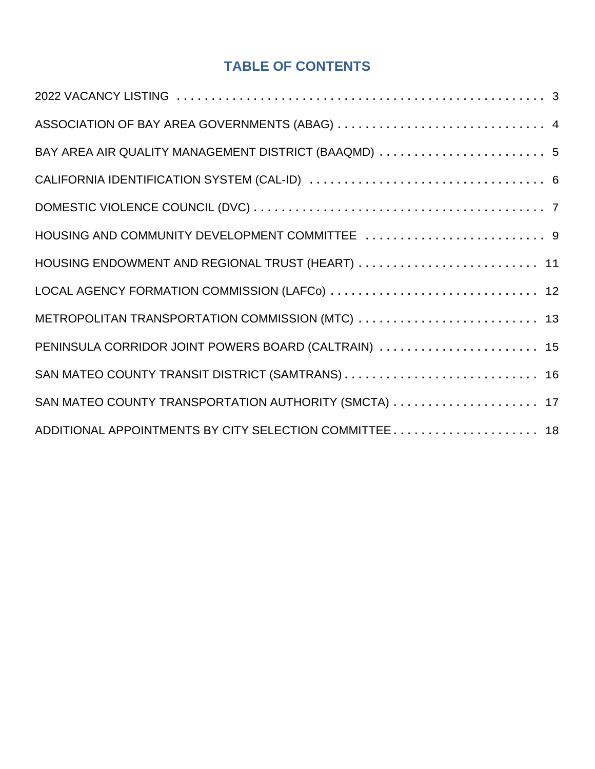## **TABLE OF CONTENTS**

| BAY AREA AIR QUALITY MANAGEMENT DISTRICT (BAAQMD)  5   |  |
|--------------------------------------------------------|--|
|                                                        |  |
|                                                        |  |
|                                                        |  |
| HOUSING ENDOWMENT AND REGIONAL TRUST (HEART)  11       |  |
| LOCAL AGENCY FORMATION COMMISSION (LAFCo)  12          |  |
| METROPOLITAN TRANSPORTATION COMMISSION (MTC)  13       |  |
| PENINSULA CORRIDOR JOINT POWERS BOARD (CALTRAIN)  15   |  |
|                                                        |  |
| SAN MATEO COUNTY TRANSPORTATION AUTHORITY (SMCTA)  17  |  |
| ADDITIONAL APPOINTMENTS BY CITY SELECTION COMMITTEE 18 |  |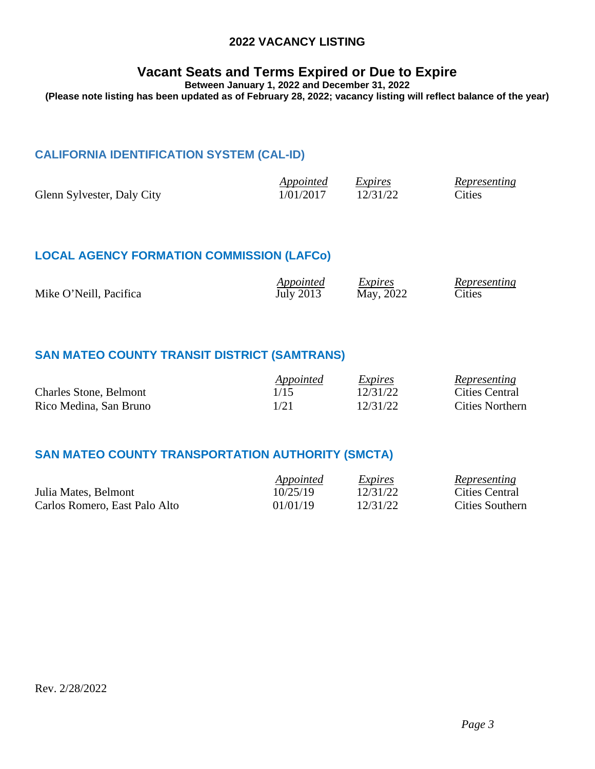#### **2022 VACANCY LISTING**

## **Vacant Seats and Terms Expired or Due to Expire**

**Between January 1, 2022 and December 31, 2022**

<span id="page-2-0"></span>**(Please note listing has been updated as of February 28, 2022; vacancy listing will reflect balance of the year)**

#### **CALIFORNIA IDENTIFICATION SYSTEM (CAL-ID)**

|                            | Appointed | Expires  | Representing |
|----------------------------|-----------|----------|--------------|
| Glenn Sylvester, Daly City | 1/01/2017 | 12/31/22 | Cities       |

#### **LOCAL AGENCY FORMATION COMMISSION (LAFCo)**

| Mike O'Neill, Pacifica | <i>Appointed</i> | Expires   | Representing  |
|------------------------|------------------|-----------|---------------|
|                        | July 2013        | May, 2022 | <b>Cities</b> |
|                        |                  |           |               |

#### **SAN MATEO COUNTY TRANSIT DISTRICT (SAMTRANS)**

|                               | Appointed | Expires  | Representing    |
|-------------------------------|-----------|----------|-----------------|
| <b>Charles Stone, Belmont</b> | 1/15      | 12/31/22 | Cities Central  |
| Rico Medina, San Bruno        | 1/21      | 12/31/22 | Cities Northern |

## **SAN MATEO COUNTY TRANSPORTATION AUTHORITY (SMCTA)**

|                               | Appointed | Expires  | Representing    |
|-------------------------------|-----------|----------|-----------------|
| Julia Mates, Belmont          | 10/25/19  | 12/31/22 | Cities Central  |
| Carlos Romero, East Palo Alto | 01/01/19  | 12/31/22 | Cities Southern |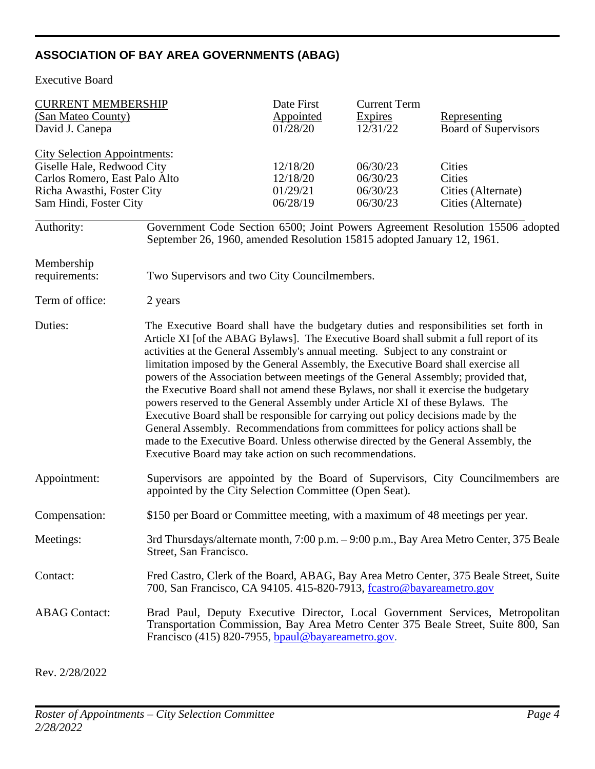## <span id="page-3-0"></span>**ASSOCIATION OF BAY AREA GOVERNMENTS (ABAG)**

Executive Board

| <b>CURRENT MEMBERSHIP</b><br>(San Mateo County)<br>David J. Canepa                                                                                                                                                                                         |                                                                                                                                                                                                                                                                                                                                                                                                                                                                                                                                                                                                                                                                                                                                                                                                                                                                                                                                                      | Date First<br><b>Appointed</b><br>01/28/20 | <b>Current Term</b><br><b>Expires</b><br>12/31/22 | Representing<br><b>Board of Supervisors</b>                                            |
|------------------------------------------------------------------------------------------------------------------------------------------------------------------------------------------------------------------------------------------------------------|------------------------------------------------------------------------------------------------------------------------------------------------------------------------------------------------------------------------------------------------------------------------------------------------------------------------------------------------------------------------------------------------------------------------------------------------------------------------------------------------------------------------------------------------------------------------------------------------------------------------------------------------------------------------------------------------------------------------------------------------------------------------------------------------------------------------------------------------------------------------------------------------------------------------------------------------------|--------------------------------------------|---------------------------------------------------|----------------------------------------------------------------------------------------|
| <b>City Selection Appointments:</b><br>Giselle Hale, Redwood City<br>12/18/20<br>06/30/23<br>Carlos Romero, East Palo Alto<br>12/18/20<br>06/30/23<br>01/29/21<br>06/30/23<br>Richa Awasthi, Foster City<br>06/28/19<br>06/30/23<br>Sam Hindi, Foster City |                                                                                                                                                                                                                                                                                                                                                                                                                                                                                                                                                                                                                                                                                                                                                                                                                                                                                                                                                      |                                            |                                                   | Cities<br>Cities<br>Cities (Alternate)<br>Cities (Alternate)                           |
| Authority:                                                                                                                                                                                                                                                 | September 26, 1960, amended Resolution 15815 adopted January 12, 1961.                                                                                                                                                                                                                                                                                                                                                                                                                                                                                                                                                                                                                                                                                                                                                                                                                                                                               |                                            |                                                   | Government Code Section 6500; Joint Powers Agreement Resolution 15506 adopted          |
| Membership<br>requirements:                                                                                                                                                                                                                                | Two Supervisors and two City Councilmembers.                                                                                                                                                                                                                                                                                                                                                                                                                                                                                                                                                                                                                                                                                                                                                                                                                                                                                                         |                                            |                                                   |                                                                                        |
| Term of office:                                                                                                                                                                                                                                            | 2 years                                                                                                                                                                                                                                                                                                                                                                                                                                                                                                                                                                                                                                                                                                                                                                                                                                                                                                                                              |                                            |                                                   |                                                                                        |
| Duties:                                                                                                                                                                                                                                                    | The Executive Board shall have the budgetary duties and responsibilities set forth in<br>Article XI [of the ABAG Bylaws]. The Executive Board shall submit a full report of its<br>activities at the General Assembly's annual meeting. Subject to any constraint or<br>limitation imposed by the General Assembly, the Executive Board shall exercise all<br>powers of the Association between meetings of the General Assembly; provided that,<br>the Executive Board shall not amend these Bylaws, nor shall it exercise the budgetary<br>powers reserved to the General Assembly under Article XI of these Bylaws. The<br>Executive Board shall be responsible for carrying out policy decisions made by the<br>General Assembly. Recommendations from committees for policy actions shall be<br>made to the Executive Board. Unless otherwise directed by the General Assembly, the<br>Executive Board may take action on such recommendations. |                                            |                                                   |                                                                                        |
| Appointment:                                                                                                                                                                                                                                               | appointed by the City Selection Committee (Open Seat).                                                                                                                                                                                                                                                                                                                                                                                                                                                                                                                                                                                                                                                                                                                                                                                                                                                                                               |                                            |                                                   | Supervisors are appointed by the Board of Supervisors, City Councilmembers are         |
| Compensation:                                                                                                                                                                                                                                              | \$150 per Board or Committee meeting, with a maximum of 48 meetings per year.                                                                                                                                                                                                                                                                                                                                                                                                                                                                                                                                                                                                                                                                                                                                                                                                                                                                        |                                            |                                                   |                                                                                        |
| Meetings:                                                                                                                                                                                                                                                  | Street, San Francisco.                                                                                                                                                                                                                                                                                                                                                                                                                                                                                                                                                                                                                                                                                                                                                                                                                                                                                                                               |                                            |                                                   | 3rd Thursdays/alternate month, 7:00 p.m. – 9:00 p.m., Bay Area Metro Center, 375 Beale |
| Contact:                                                                                                                                                                                                                                                   | 700, San Francisco, CA 94105. 415-820-7913, fcastro@bayareametro.gov                                                                                                                                                                                                                                                                                                                                                                                                                                                                                                                                                                                                                                                                                                                                                                                                                                                                                 |                                            |                                                   | Fred Castro, Clerk of the Board, ABAG, Bay Area Metro Center, 375 Beale Street, Suite  |
| <b>ABAG</b> Contact:                                                                                                                                                                                                                                       | Brad Paul, Deputy Executive Director, Local Government Services, Metropolitan<br>Transportation Commission, Bay Area Metro Center 375 Beale Street, Suite 800, San<br>Francisco (415) 820-7955, bpaul@bayareametro.gov.                                                                                                                                                                                                                                                                                                                                                                                                                                                                                                                                                                                                                                                                                                                              |                                            |                                                   |                                                                                        |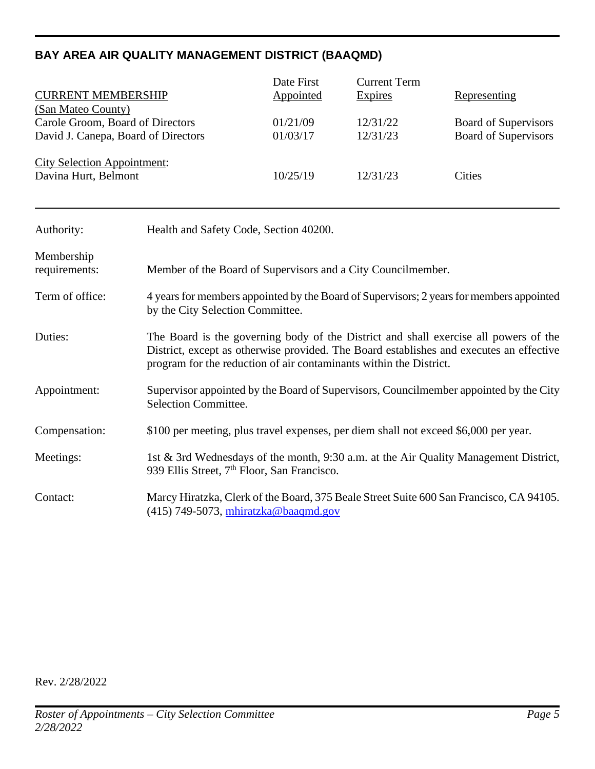## <span id="page-4-0"></span>**BAY AREA AIR QUALITY MANAGEMENT DISTRICT (BAAQMD)**

|                                                            | Date First | <b>Current Term</b> |                      |
|------------------------------------------------------------|------------|---------------------|----------------------|
| <b>CURRENT MEMBERSHIP</b>                                  | Appointed  | Expires             | <b>Representing</b>  |
| (San Mateo County)                                         |            |                     |                      |
| Carole Groom, Board of Directors                           | 01/21/09   | 12/31/22            | Board of Supervisors |
| David J. Canepa, Board of Directors                        | 01/03/17   | 12/31/23            | Board of Supervisors |
| <b>City Selection Appointment:</b><br>Davina Hurt, Belmont | 10/25/19   | 12/31/23            | Cities               |

| Authority:                  | Health and Safety Code, Section 40200.                                                                                                                                                                                                                |
|-----------------------------|-------------------------------------------------------------------------------------------------------------------------------------------------------------------------------------------------------------------------------------------------------|
| Membership<br>requirements: | Member of the Board of Supervisors and a City Councilmember.                                                                                                                                                                                          |
| Term of office:             | 4 years for members appointed by the Board of Supervisors; 2 years for members appointed<br>by the City Selection Committee.                                                                                                                          |
| Duties:                     | The Board is the governing body of the District and shall exercise all powers of the<br>District, except as otherwise provided. The Board establishes and executes an effective<br>program for the reduction of air contaminants within the District. |
| Appointment:                | Supervisor appointed by the Board of Supervisors, Councilmember appointed by the City<br>Selection Committee.                                                                                                                                         |
| Compensation:               | \$100 per meeting, plus travel expenses, per diem shall not exceed \$6,000 per year.                                                                                                                                                                  |
| Meetings:                   | 1st & 3rd Wednesdays of the month, 9:30 a.m. at the Air Quality Management District,<br>939 Ellis Street, 7 <sup>th</sup> Floor, San Francisco.                                                                                                       |
| Contact:                    | Marcy Hiratzka, Clerk of the Board, 375 Beale Street Suite 600 San Francisco, CA 94105.<br>$(415)$ 749-5073, mhiratzka@baaqmd.gov                                                                                                                     |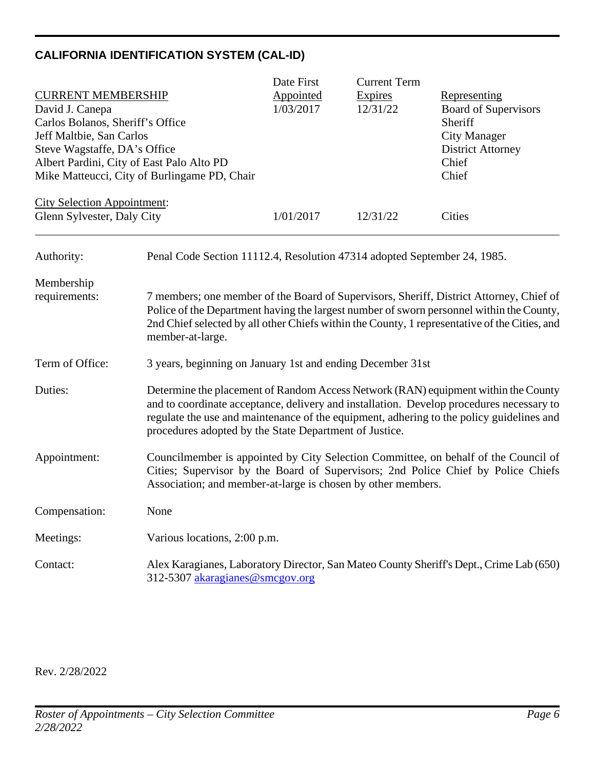## <span id="page-5-0"></span>**CALIFORNIA IDENTIFICATION SYSTEM (CAL-ID)**

|                                           |                                                                          | Date First | <b>Current Term</b> |                                                                                                                                                                                                                                                                                      |
|-------------------------------------------|--------------------------------------------------------------------------|------------|---------------------|--------------------------------------------------------------------------------------------------------------------------------------------------------------------------------------------------------------------------------------------------------------------------------------|
| <b>CURRENT MEMBERSHIP</b>                 |                                                                          | Appointed  | <b>Expires</b>      | <b>Representing</b>                                                                                                                                                                                                                                                                  |
| David J. Canepa                           |                                                                          | 1/03/2017  | 12/31/22            | <b>Board of Supervisors</b>                                                                                                                                                                                                                                                          |
| Carlos Bolanos, Sheriff's Office          |                                                                          |            |                     | Sheriff                                                                                                                                                                                                                                                                              |
| Jeff Maltbie, San Carlos                  |                                                                          |            |                     | <b>City Manager</b>                                                                                                                                                                                                                                                                  |
| Steve Wagstaffe, DA's Office              |                                                                          |            |                     | <b>District Attorney</b>                                                                                                                                                                                                                                                             |
| Albert Pardini, City of East Palo Alto PD |                                                                          |            |                     | Chief                                                                                                                                                                                                                                                                                |
|                                           | Mike Matteucci, City of Burlingame PD, Chair                             |            |                     | Chief                                                                                                                                                                                                                                                                                |
| <b>City Selection Appointment:</b>        |                                                                          |            |                     |                                                                                                                                                                                                                                                                                      |
| Glenn Sylvester, Daly City                |                                                                          | 1/01/2017  | 12/31/22            | Cities                                                                                                                                                                                                                                                                               |
| Authority:                                | Penal Code Section 11112.4, Resolution 47314 adopted September 24, 1985. |            |                     |                                                                                                                                                                                                                                                                                      |
| Membership                                |                                                                          |            |                     |                                                                                                                                                                                                                                                                                      |
| requirements:                             | member-at-large.                                                         |            |                     | 7 members; one member of the Board of Supervisors, Sheriff, District Attorney, Chief of<br>Police of the Department having the largest number of sworn personnel within the County,<br>2nd Chief selected by all other Chiefs within the County, 1 representative of the Cities, and |
| Term of Office:                           | 3 years, beginning on January 1st and ending December 31st               |            |                     |                                                                                                                                                                                                                                                                                      |
| Duties:                                   | procedures adopted by the State Department of Justice.                   |            |                     | Determine the placement of Random Access Network (RAN) equipment within the County<br>and to coordinate acceptance, delivery and installation. Develop procedures necessary to<br>regulate the use and maintenance of the equipment, adhering to the policy guidelines and           |
| Appointment:                              | Association; and member-at-large is chosen by other members.             |            |                     | Councilmember is appointed by City Selection Committee, on behalf of the Council of<br>Cities; Supervisor by the Board of Supervisors; 2nd Police Chief by Police Chiefs                                                                                                             |
| Compensation:                             | None                                                                     |            |                     |                                                                                                                                                                                                                                                                                      |
| Meetings:                                 | Various locations, 2:00 p.m.                                             |            |                     |                                                                                                                                                                                                                                                                                      |
| Contact:                                  | 312-5307 akaragianes@smcgov.org                                          |            |                     | Alex Karagianes, Laboratory Director, San Mateo County Sheriff's Dept., Crime Lab (650)                                                                                                                                                                                              |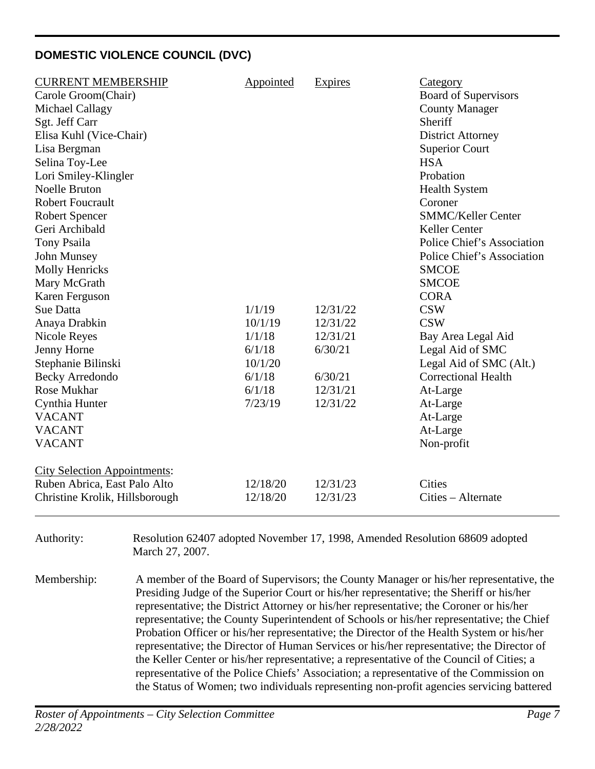## <span id="page-6-0"></span>**DOMESTIC VIOLENCE COUNCIL (DVC)**

| <b>CURRENT MEMBERSHIP</b><br>Carole Groom(Chair)<br>Michael Callagy<br>Sgt. Jeff Carr<br>Elisa Kuhl (Vice-Chair)<br>Lisa Bergman<br>Selina Toy-Lee<br>Lori Smiley-Klingler<br><b>Noelle Bruton</b><br><b>Robert Foucrault</b><br><b>Robert Spencer</b><br>Geri Archibald<br>Tony Psaila<br>John Munsey<br><b>Molly Henricks</b><br>Mary McGrath<br>Karen Ferguson<br><b>Sue Datta</b><br>Anaya Drabkin<br><b>Nicole Reyes</b><br>Jenny Horne<br>Stephanie Bilinski<br><b>Becky Arredondo</b><br><b>Rose Mukhar</b><br>Cynthia Hunter<br><b>VACANT</b><br><b>VACANT</b><br><b>VACANT</b><br><b>City Selection Appointments:</b> | Appointed<br>1/1/19<br>10/1/19<br>1/1/18<br>6/1/18<br>10/1/20<br>6/1/18<br>6/1/18<br>7/23/19 | Expires<br>12/31/22<br>12/31/22<br>12/31/21<br>6/30/21<br>6/30/21<br>12/31/21<br>12/31/22 | <b>Category</b><br><b>Board of Supervisors</b><br><b>County Manager</b><br>Sheriff<br><b>District Attorney</b><br><b>Superior Court</b><br><b>HSA</b><br>Probation<br><b>Health System</b><br>Coroner<br><b>SMMC/Keller Center</b><br>Keller Center<br>Police Chief's Association<br>Police Chief's Association<br><b>SMCOE</b><br><b>SMCOE</b><br><b>CORA</b><br><b>CSW</b><br><b>CSW</b><br>Bay Area Legal Aid<br>Legal Aid of SMC<br>Legal Aid of SMC (Alt.)<br><b>Correctional Health</b><br>At-Large<br>At-Large<br>At-Large<br>At-Large<br>Non-profit |
|--------------------------------------------------------------------------------------------------------------------------------------------------------------------------------------------------------------------------------------------------------------------------------------------------------------------------------------------------------------------------------------------------------------------------------------------------------------------------------------------------------------------------------------------------------------------------------------------------------------------------------|----------------------------------------------------------------------------------------------|-------------------------------------------------------------------------------------------|-------------------------------------------------------------------------------------------------------------------------------------------------------------------------------------------------------------------------------------------------------------------------------------------------------------------------------------------------------------------------------------------------------------------------------------------------------------------------------------------------------------------------------------------------------------|
| Ruben Abrica, East Palo Alto<br>Christine Krolik, Hillsborough                                                                                                                                                                                                                                                                                                                                                                                                                                                                                                                                                                 | 12/18/20<br>12/18/20                                                                         | 12/31/23<br>12/31/23                                                                      | <b>Cities</b><br>Cities – Alternate                                                                                                                                                                                                                                                                                                                                                                                                                                                                                                                         |
|                                                                                                                                                                                                                                                                                                                                                                                                                                                                                                                                                                                                                                |                                                                                              |                                                                                           |                                                                                                                                                                                                                                                                                                                                                                                                                                                                                                                                                             |

Authority: Resolution 62407 adopted November 17, 1998, Amended Resolution 68609 adopted March 27, 2007.

Membership: A member of the Board of Supervisors; the County Manager or his/her representative, the Presiding Judge of the Superior Court or his/her representative; the Sheriff or his/her representative; the District Attorney or his/her representative; the Coroner or his/her representative; the County Superintendent of Schools or his/her representative; the Chief Probation Officer or his/her representative; the Director of the Health System or his/her representative; the Director of Human Services or his/her representative; the Director of the Keller Center or his/her representative; a representative of the Council of Cities; a representative of the Police Chiefs' Association; a representative of the Commission on the Status of Women; two individuals representing non-profit agencies servicing battered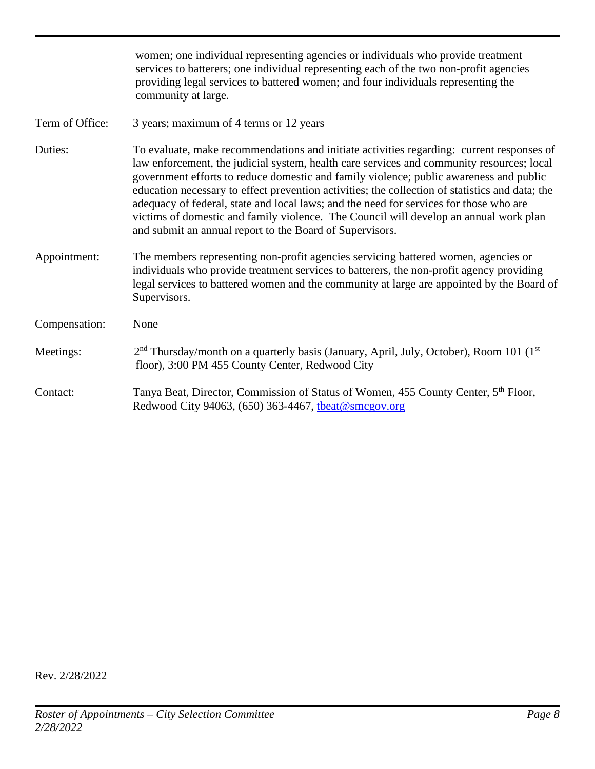|                 | women; one individual representing agencies or individuals who provide treatment<br>services to batterers; one individual representing each of the two non-profit agencies<br>providing legal services to battered women; and four individuals representing the<br>community at large.                                                                                                                                                                                                                                                                                                                                             |
|-----------------|------------------------------------------------------------------------------------------------------------------------------------------------------------------------------------------------------------------------------------------------------------------------------------------------------------------------------------------------------------------------------------------------------------------------------------------------------------------------------------------------------------------------------------------------------------------------------------------------------------------------------------|
| Term of Office: | 3 years; maximum of 4 terms or 12 years                                                                                                                                                                                                                                                                                                                                                                                                                                                                                                                                                                                            |
| Duties:         | To evaluate, make recommendations and initiate activities regarding: current responses of<br>law enforcement, the judicial system, health care services and community resources; local<br>government efforts to reduce domestic and family violence; public awareness and public<br>education necessary to effect prevention activities; the collection of statistics and data; the<br>adequacy of federal, state and local laws; and the need for services for those who are<br>victims of domestic and family violence. The Council will develop an annual work plan<br>and submit an annual report to the Board of Supervisors. |
| Appointment:    | The members representing non-profit agencies servicing battered women, agencies or<br>individuals who provide treatment services to batterers, the non-profit agency providing<br>legal services to battered women and the community at large are appointed by the Board of<br>Supervisors.                                                                                                                                                                                                                                                                                                                                        |
| Compensation:   | None                                                                                                                                                                                                                                                                                                                                                                                                                                                                                                                                                                                                                               |
| Meetings:       | 2 <sup>nd</sup> Thursday/month on a quarterly basis (January, April, July, October), Room 101 (1 <sup>st</sup><br>floor), 3:00 PM 455 County Center, Redwood City                                                                                                                                                                                                                                                                                                                                                                                                                                                                  |
| Contact:        | Tanya Beat, Director, Commission of Status of Women, 455 County Center, 5 <sup>th</sup> Floor,<br>Redwood City 94063, (650) 363-4467, theat@smcgov.org                                                                                                                                                                                                                                                                                                                                                                                                                                                                             |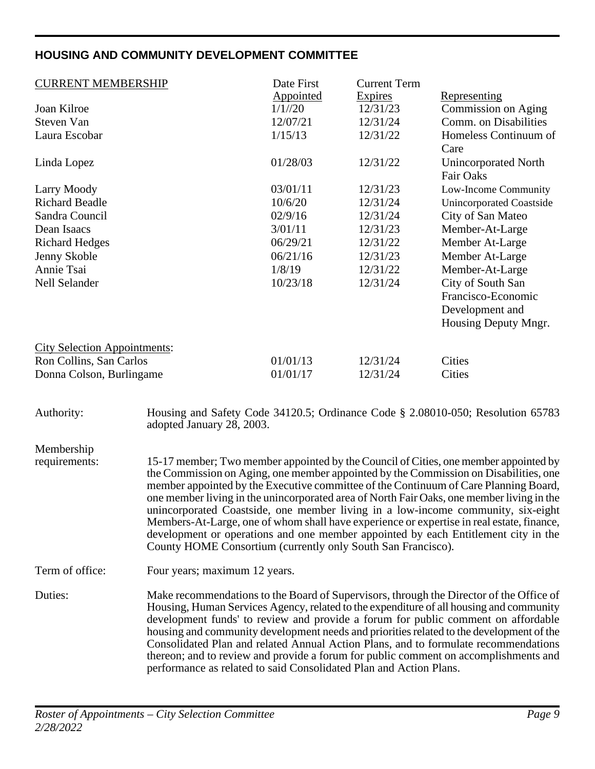## <span id="page-8-0"></span>**HOUSING AND COMMUNITY DEVELOPMENT COMMITTEE**

| <b>CURRENT MEMBERSHIP</b>           |                                                                                                                                                                                                                                                                                                                                                                                                                                                                                                                                                                                                                          | Date First<br>Appointed | <b>Current Term</b><br>Expires | Representing                                                                                                                                                                                                                                                                                                                                                                                                                                                                                                                                     |
|-------------------------------------|--------------------------------------------------------------------------------------------------------------------------------------------------------------------------------------------------------------------------------------------------------------------------------------------------------------------------------------------------------------------------------------------------------------------------------------------------------------------------------------------------------------------------------------------------------------------------------------------------------------------------|-------------------------|--------------------------------|--------------------------------------------------------------------------------------------------------------------------------------------------------------------------------------------------------------------------------------------------------------------------------------------------------------------------------------------------------------------------------------------------------------------------------------------------------------------------------------------------------------------------------------------------|
| Joan Kilroe                         |                                                                                                                                                                                                                                                                                                                                                                                                                                                                                                                                                                                                                          | 1/1//20                 | 12/31/23                       | Commission on Aging                                                                                                                                                                                                                                                                                                                                                                                                                                                                                                                              |
| Steven Van                          |                                                                                                                                                                                                                                                                                                                                                                                                                                                                                                                                                                                                                          | 12/07/21                | 12/31/24                       | Comm. on Disabilities                                                                                                                                                                                                                                                                                                                                                                                                                                                                                                                            |
| Laura Escobar                       |                                                                                                                                                                                                                                                                                                                                                                                                                                                                                                                                                                                                                          | 1/15/13                 | 12/31/22                       | Homeless Continuum of<br>Care                                                                                                                                                                                                                                                                                                                                                                                                                                                                                                                    |
| Linda Lopez                         |                                                                                                                                                                                                                                                                                                                                                                                                                                                                                                                                                                                                                          | 01/28/03                | 12/31/22                       | <b>Unincorporated North</b><br><b>Fair Oaks</b>                                                                                                                                                                                                                                                                                                                                                                                                                                                                                                  |
| Larry Moody                         |                                                                                                                                                                                                                                                                                                                                                                                                                                                                                                                                                                                                                          | 03/01/11                | 12/31/23                       | Low-Income Community                                                                                                                                                                                                                                                                                                                                                                                                                                                                                                                             |
| <b>Richard Beadle</b>               |                                                                                                                                                                                                                                                                                                                                                                                                                                                                                                                                                                                                                          | 10/6/20                 | 12/31/24                       | <b>Unincorporated Coastside</b>                                                                                                                                                                                                                                                                                                                                                                                                                                                                                                                  |
| Sandra Council                      |                                                                                                                                                                                                                                                                                                                                                                                                                                                                                                                                                                                                                          | 02/9/16                 | 12/31/24                       | City of San Mateo                                                                                                                                                                                                                                                                                                                                                                                                                                                                                                                                |
| Dean Isaacs                         |                                                                                                                                                                                                                                                                                                                                                                                                                                                                                                                                                                                                                          | 3/01/11                 | 12/31/23                       | Member-At-Large                                                                                                                                                                                                                                                                                                                                                                                                                                                                                                                                  |
| <b>Richard Hedges</b>               |                                                                                                                                                                                                                                                                                                                                                                                                                                                                                                                                                                                                                          | 06/29/21                | 12/31/22                       | Member At-Large                                                                                                                                                                                                                                                                                                                                                                                                                                                                                                                                  |
| Jenny Skoble                        |                                                                                                                                                                                                                                                                                                                                                                                                                                                                                                                                                                                                                          | 06/21/16                | 12/31/23                       | Member At-Large                                                                                                                                                                                                                                                                                                                                                                                                                                                                                                                                  |
| Annie Tsai                          |                                                                                                                                                                                                                                                                                                                                                                                                                                                                                                                                                                                                                          | 1/8/19                  | 12/31/22                       | Member-At-Large                                                                                                                                                                                                                                                                                                                                                                                                                                                                                                                                  |
| Nell Selander                       |                                                                                                                                                                                                                                                                                                                                                                                                                                                                                                                                                                                                                          | 10/23/18                | 12/31/24                       | City of South San                                                                                                                                                                                                                                                                                                                                                                                                                                                                                                                                |
|                                     |                                                                                                                                                                                                                                                                                                                                                                                                                                                                                                                                                                                                                          |                         |                                | Francisco-Economic                                                                                                                                                                                                                                                                                                                                                                                                                                                                                                                               |
|                                     |                                                                                                                                                                                                                                                                                                                                                                                                                                                                                                                                                                                                                          |                         |                                | Development and                                                                                                                                                                                                                                                                                                                                                                                                                                                                                                                                  |
|                                     |                                                                                                                                                                                                                                                                                                                                                                                                                                                                                                                                                                                                                          |                         |                                | Housing Deputy Mngr.                                                                                                                                                                                                                                                                                                                                                                                                                                                                                                                             |
|                                     |                                                                                                                                                                                                                                                                                                                                                                                                                                                                                                                                                                                                                          |                         |                                |                                                                                                                                                                                                                                                                                                                                                                                                                                                                                                                                                  |
| <b>City Selection Appointments:</b> |                                                                                                                                                                                                                                                                                                                                                                                                                                                                                                                                                                                                                          |                         |                                |                                                                                                                                                                                                                                                                                                                                                                                                                                                                                                                                                  |
| Ron Collins, San Carlos             |                                                                                                                                                                                                                                                                                                                                                                                                                                                                                                                                                                                                                          | 01/01/13                | 12/31/24                       | Cities                                                                                                                                                                                                                                                                                                                                                                                                                                                                                                                                           |
| Donna Colson, Burlingame            |                                                                                                                                                                                                                                                                                                                                                                                                                                                                                                                                                                                                                          | 01/01/17                | 12/31/24                       | Cities                                                                                                                                                                                                                                                                                                                                                                                                                                                                                                                                           |
|                                     |                                                                                                                                                                                                                                                                                                                                                                                                                                                                                                                                                                                                                          |                         |                                |                                                                                                                                                                                                                                                                                                                                                                                                                                                                                                                                                  |
| Authority:                          | adopted January 28, 2003.                                                                                                                                                                                                                                                                                                                                                                                                                                                                                                                                                                                                |                         |                                | Housing and Safety Code 34120.5; Ordinance Code § 2.08010-050; Resolution 65783                                                                                                                                                                                                                                                                                                                                                                                                                                                                  |
|                                     |                                                                                                                                                                                                                                                                                                                                                                                                                                                                                                                                                                                                                          |                         |                                |                                                                                                                                                                                                                                                                                                                                                                                                                                                                                                                                                  |
| Membership<br>requirements:         |                                                                                                                                                                                                                                                                                                                                                                                                                                                                                                                                                                                                                          |                         |                                | 15-17 member; Two member appointed by the Council of Cities, one member appointed by                                                                                                                                                                                                                                                                                                                                                                                                                                                             |
|                                     | County HOME Consortium (currently only South San Francisco).                                                                                                                                                                                                                                                                                                                                                                                                                                                                                                                                                             |                         |                                | the Commission on Aging, one member appointed by the Commission on Disabilities, one<br>member appointed by the Executive committee of the Continuum of Care Planning Board,<br>one member living in the unincorporated area of North Fair Oaks, one member living in the<br>unincorporated Coastside, one member living in a low-income community, six-eight<br>Members-At-Large, one of whom shall have experience or expertise in real estate, finance,<br>development or operations and one member appointed by each Entitlement city in the |
| Term of office:                     | Four years; maximum 12 years.                                                                                                                                                                                                                                                                                                                                                                                                                                                                                                                                                                                            |                         |                                |                                                                                                                                                                                                                                                                                                                                                                                                                                                                                                                                                  |
| Duties:                             | Make recommendations to the Board of Supervisors, through the Director of the Office of<br>Housing, Human Services Agency, related to the expenditure of all housing and community<br>development funds' to review and provide a forum for public comment on affordable<br>housing and community development needs and priorities related to the development of the<br>Consolidated Plan and related Annual Action Plans, and to formulate recommendations<br>thereon; and to review and provide a forum for public comment on accomplishments and<br>performance as related to said Consolidated Plan and Action Plans. |                         |                                |                                                                                                                                                                                                                                                                                                                                                                                                                                                                                                                                                  |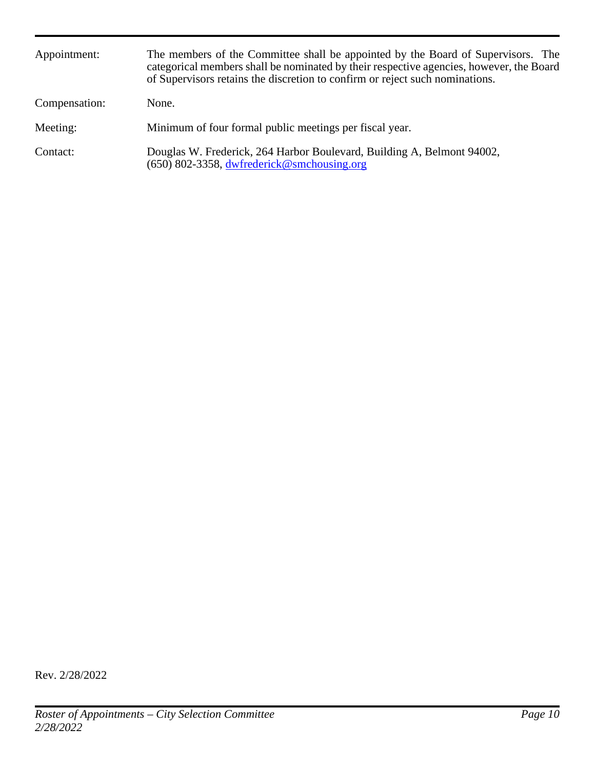| Appointment:  | The members of the Committee shall be appointed by the Board of Supervisors. The<br>categorical members shall be nominated by their respective agencies, however, the Board<br>of Supervisors retains the discretion to confirm or reject such nominations. |
|---------------|-------------------------------------------------------------------------------------------------------------------------------------------------------------------------------------------------------------------------------------------------------------|
| Compensation: | None.                                                                                                                                                                                                                                                       |
| Meeting:      | Minimum of four formal public meetings per fiscal year.                                                                                                                                                                                                     |
| Contact:      | Douglas W. Frederick, 264 Harbor Boulevard, Building A, Belmont 94002,<br>$(650)$ 802-3358, dwfrederick@smchousing.org                                                                                                                                      |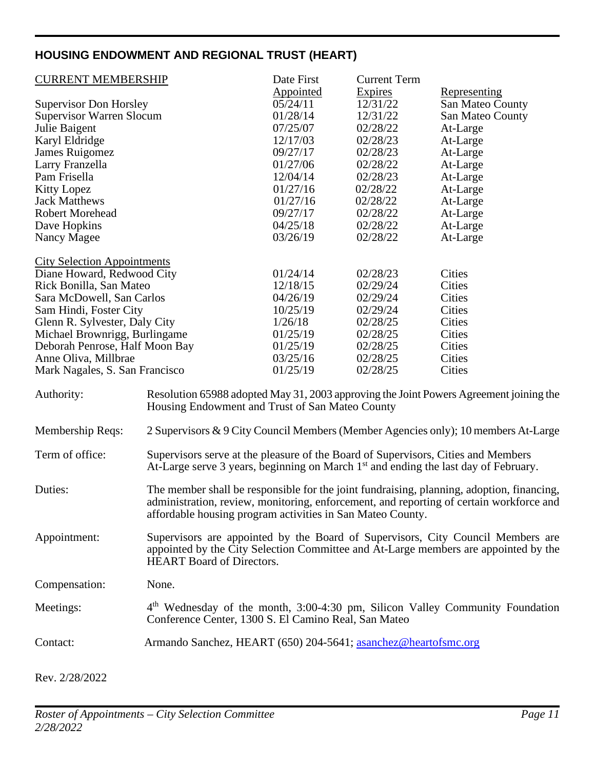## <span id="page-10-0"></span>**HOUSING ENDOWMENT AND REGIONAL TRUST (HEART)**

| <b>CURRENT MEMBERSHIP</b>          |                                                                                                                                                                                                                                                    | Date First       | <b>Current Term</b> |                                                                                    |
|------------------------------------|----------------------------------------------------------------------------------------------------------------------------------------------------------------------------------------------------------------------------------------------------|------------------|---------------------|------------------------------------------------------------------------------------|
|                                    |                                                                                                                                                                                                                                                    | <b>Appointed</b> | Expires             | Representing                                                                       |
| <b>Supervisor Don Horsley</b>      |                                                                                                                                                                                                                                                    | 05/24/11         | 12/31/22            | San Mateo County                                                                   |
| <b>Supervisor Warren Slocum</b>    |                                                                                                                                                                                                                                                    | 01/28/14         | 12/31/22            | San Mateo County                                                                   |
| Julie Baigent                      |                                                                                                                                                                                                                                                    | 07/25/07         | 02/28/22            | At-Large                                                                           |
| Karyl Eldridge                     |                                                                                                                                                                                                                                                    | 12/17/03         | 02/28/23            | At-Large                                                                           |
| James Ruigomez                     |                                                                                                                                                                                                                                                    | 09/27/17         | 02/28/23            | At-Large                                                                           |
| Larry Franzella                    |                                                                                                                                                                                                                                                    | 01/27/06         | 02/28/22            | At-Large                                                                           |
| Pam Frisella                       |                                                                                                                                                                                                                                                    | 12/04/14         | 02/28/23            | At-Large                                                                           |
| <b>Kitty Lopez</b>                 |                                                                                                                                                                                                                                                    | 01/27/16         | 02/28/22            | At-Large                                                                           |
| <b>Jack Matthews</b>               |                                                                                                                                                                                                                                                    | 01/27/16         | 02/28/22            | At-Large                                                                           |
| <b>Robert Morehead</b>             |                                                                                                                                                                                                                                                    | 09/27/17         | 02/28/22            | At-Large                                                                           |
|                                    |                                                                                                                                                                                                                                                    | 04/25/18         |                     |                                                                                    |
| Dave Hopkins                       |                                                                                                                                                                                                                                                    |                  | 02/28/22            | At-Large                                                                           |
| Nancy Magee                        |                                                                                                                                                                                                                                                    | 03/26/19         | 02/28/22            | At-Large                                                                           |
| <b>City Selection Appointments</b> |                                                                                                                                                                                                                                                    |                  |                     |                                                                                    |
| Diane Howard, Redwood City         |                                                                                                                                                                                                                                                    | 01/24/14         | 02/28/23            | Cities                                                                             |
| Rick Bonilla, San Mateo            |                                                                                                                                                                                                                                                    | 12/18/15         | 02/29/24            | <b>Cities</b>                                                                      |
| Sara McDowell, San Carlos          |                                                                                                                                                                                                                                                    | 04/26/19         | 02/29/24            | Cities                                                                             |
| Sam Hindi, Foster City             |                                                                                                                                                                                                                                                    | 10/25/19         | 02/29/24            | Cities                                                                             |
| Glenn R. Sylvester, Daly City      |                                                                                                                                                                                                                                                    | 1/26/18          | 02/28/25            | Cities                                                                             |
| Michael Brownrigg, Burlingame      |                                                                                                                                                                                                                                                    | 01/25/19         | 02/28/25            | Cities                                                                             |
| Deborah Penrose, Half Moon Bay     |                                                                                                                                                                                                                                                    | 01/25/19         | 02/28/25            | Cities                                                                             |
| Anne Oliva, Millbrae               |                                                                                                                                                                                                                                                    | 03/25/16         | 02/28/25            | Cities                                                                             |
| Mark Nagales, S. San Francisco     |                                                                                                                                                                                                                                                    | 01/25/19         | 02/28/25            | Cities                                                                             |
| Authority:                         | Resolution 65988 adopted May 31, 2003 approving the Joint Powers Agreement joining the<br>Housing Endowment and Trust of San Mateo County                                                                                                          |                  |                     |                                                                                    |
| Membership Reqs:                   |                                                                                                                                                                                                                                                    |                  |                     | 2 Supervisors & 9 City Council Members (Member Agencies only); 10 members At-Large |
| Term of office:                    | Supervisors serve at the pleasure of the Board of Supervisors, Cities and Members<br>At-Large serve 3 years, beginning on March 1 <sup>st</sup> and ending the last day of February.                                                               |                  |                     |                                                                                    |
| Duties:                            | The member shall be responsible for the joint fundraising, planning, adoption, financing,<br>administration, review, monitoring, enforcement, and reporting of certain workforce and<br>affordable housing program activities in San Mateo County. |                  |                     |                                                                                    |
| Appointment:                       | Supervisors are appointed by the Board of Supervisors, City Council Members are<br>appointed by the City Selection Committee and At-Large members are appointed by the<br><b>HEART</b> Board of Directors.                                         |                  |                     |                                                                                    |
| Compensation:                      | None.                                                                                                                                                                                                                                              |                  |                     |                                                                                    |
| Meetings:                          | $4th$ Wednesday of the month, 3:00-4:30 pm, Silicon Valley Community Foundation<br>Conference Center, 1300 S. El Camino Real, San Mateo                                                                                                            |                  |                     |                                                                                    |
| Contact:                           | Armando Sanchez, HEART (650) 204-5641; asanchez@heartofsmc.org                                                                                                                                                                                     |                  |                     |                                                                                    |
| Rev. 2/28/2022                     |                                                                                                                                                                                                                                                    |                  |                     |                                                                                    |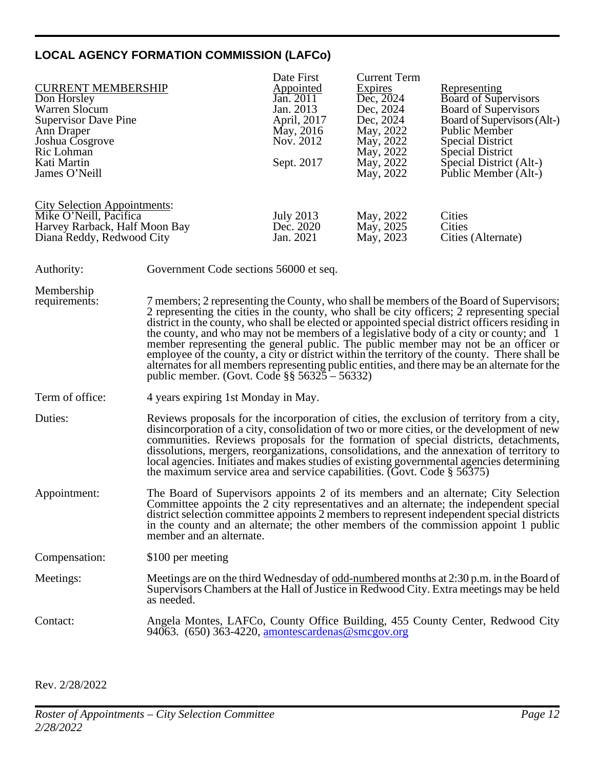### <span id="page-11-0"></span>**LOCAL AGENCY FORMATION COMMISSION (LAFCo)**

|                                     |                                        | Date First       | <b>Current Term</b> |                                                                                         |
|-------------------------------------|----------------------------------------|------------------|---------------------|-----------------------------------------------------------------------------------------|
| <b>CURRENT MEMBERSHIP</b>           |                                        | <b>Appointed</b> | Expires             | Representing                                                                            |
| Don Horsley                         |                                        | Jan. 2011        | Dec, 2024           | <b>Board of Supervisors</b>                                                             |
| Warren Slocum                       |                                        | Jan. 2013        | Dec, 2024           | <b>Board of Supervisors</b>                                                             |
| <b>Supervisor Dave Pine</b>         |                                        | April, 2017      | Dec, 2024           | Board of Supervisors (Alt-)                                                             |
| Ann Draper                          |                                        | May, 2016        | May, 2022           | Public Member                                                                           |
| Joshua Cosgrove                     |                                        | Nov. 2012        | May, 2022           | <b>Special District</b>                                                                 |
| Ric Lohman                          |                                        |                  | May, 2022           | Special District                                                                        |
| Kati Martin                         |                                        | Sept. 2017       | May, 2022           | Special District (Alt-)                                                                 |
| James O'Neill                       |                                        |                  | May, 2022           | Public Member (Alt-)                                                                    |
|                                     |                                        |                  |                     |                                                                                         |
| <b>City Selection Appointments:</b> |                                        |                  |                     |                                                                                         |
| Mike O'Neill, Pacifica              |                                        | <b>July 2013</b> | May, 2022           | Cities                                                                                  |
| Harvey Rarback, Half Moon Bay       |                                        | Dec. 2020        | May, 2025           | Cities                                                                                  |
| Diana Reddy, Redwood City           |                                        | Jan. 2021        | May, 2023           | Cities (Alternate)                                                                      |
|                                     |                                        |                  |                     |                                                                                         |
| Authority:                          | Government Code sections 56000 et seq. |                  |                     |                                                                                         |
| Membership                          |                                        |                  |                     |                                                                                         |
| requirements:                       |                                        |                  |                     | 7 members; 2 representing the County, who shall be members of the Board of Supervisors; |

- 2 representing the cities in the county, who shall be city officers; 2 representing special district in the county, who shall be elected or appointed special district officers residing in the county, and who may not be members of a legislative body of a city or county; and 1 member representing the general public. The public member may not be an officer or employee of the county, a city or district within the territory of the county. There shall be alternates for all members representing public entities, and there may be an alternate for the public member. (Govt. Code §§ 56325 – 56332)
- Term of office: 4 years expiring 1st Monday in May.
- Duties: Reviews proposals for the incorporation of cities, the exclusion of territory from a city, disincorporation of a city, consolidation of two or more cities, or the development of new communities. Reviews proposals for the formation of special districts, detachments, dissolutions, mergers, reorganizations, consolidations, and the annexation of territory to local agencies. Initiates and makes studies of existing governmental agencies determining the maximum service area and service capabilities. (Govt. Code § 56375)
- Appointment: The Board of Supervisors appoints 2 of its members and an alternate; City Selection Committee appoints the 2 city representatives and an alternate; the independent special district selection committee appoints 2 members to represent independent special districts in the county and an alternate; the other members of the commission appoint 1 public member and an alternate.

Compensation: \$100 per meeting

Meetings: Meetings are on the third Wednesday of <u>odd-numbered</u> months at 2:30 p.m. in the Board of Supervisors Chambers at the Hall of Justice in Redwood City. Extra meetings may be held as needed.

#### Contact: Angela Montes, LAFCo, County Office Building, 455 County Center, Redwood City 94063. (650) 363-4220, [amontescardenas@smcgov.org](mailto:amontescardenas@smcgov.org)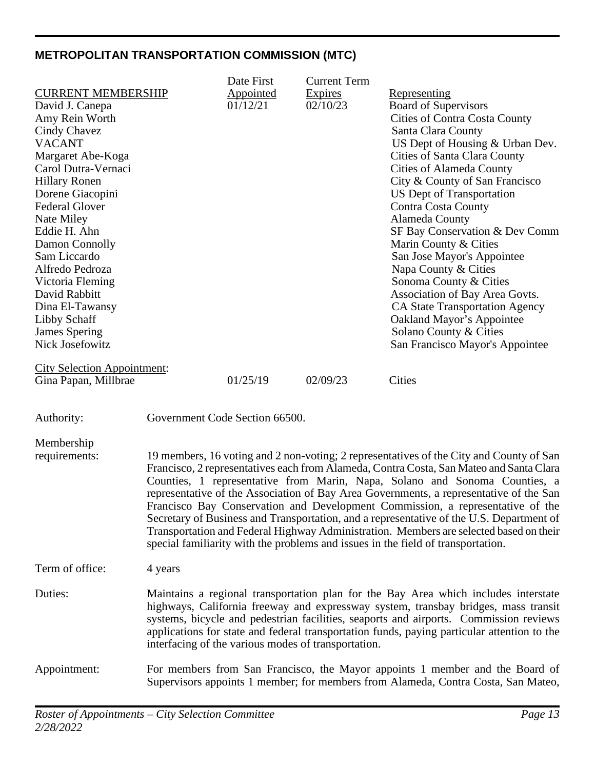## <span id="page-12-0"></span>**METROPOLITAN TRANSPORTATION COMMISSION (MTC)**

|                                           |                                                                                                                                                                      | Date First                     | <b>Current Term</b>                                 |                                                                                                                                                                   |  |
|-------------------------------------------|----------------------------------------------------------------------------------------------------------------------------------------------------------------------|--------------------------------|-----------------------------------------------------|-------------------------------------------------------------------------------------------------------------------------------------------------------------------|--|
| <b>CURRENT MEMBERSHIP</b>                 |                                                                                                                                                                      | Appointed                      | Expires                                             | <u>Representing</u>                                                                                                                                               |  |
| David J. Canepa                           |                                                                                                                                                                      | 01/12/21                       | 02/10/23                                            | <b>Board of Supervisors</b>                                                                                                                                       |  |
| Amy Rein Worth                            |                                                                                                                                                                      |                                |                                                     | <b>Cities of Contra Costa County</b>                                                                                                                              |  |
| Cindy Chavez                              |                                                                                                                                                                      |                                |                                                     | Santa Clara County                                                                                                                                                |  |
| <b>VACANT</b>                             |                                                                                                                                                                      |                                |                                                     | US Dept of Housing & Urban Dev.                                                                                                                                   |  |
| Margaret Abe-Koga                         |                                                                                                                                                                      |                                |                                                     | Cities of Santa Clara County                                                                                                                                      |  |
| Carol Dutra-Vernaci                       |                                                                                                                                                                      |                                |                                                     | <b>Cities of Alameda County</b>                                                                                                                                   |  |
| <b>Hillary Ronen</b>                      |                                                                                                                                                                      |                                |                                                     | City & County of San Francisco                                                                                                                                    |  |
| Dorene Giacopini<br><b>Federal Glover</b> |                                                                                                                                                                      |                                |                                                     | US Dept of Transportation<br><b>Contra Costa County</b>                                                                                                           |  |
| Nate Miley                                |                                                                                                                                                                      |                                |                                                     | Alameda County                                                                                                                                                    |  |
| Eddie H. Ahn                              |                                                                                                                                                                      |                                |                                                     | SF Bay Conservation & Dev Comm                                                                                                                                    |  |
| Damon Connolly                            |                                                                                                                                                                      |                                |                                                     | Marin County & Cities                                                                                                                                             |  |
| Sam Liccardo                              |                                                                                                                                                                      |                                |                                                     | San Jose Mayor's Appointee                                                                                                                                        |  |
| Alfredo Pedroza                           |                                                                                                                                                                      |                                |                                                     | Napa County & Cities                                                                                                                                              |  |
| Victoria Fleming                          |                                                                                                                                                                      |                                |                                                     | Sonoma County & Cities                                                                                                                                            |  |
| David Rabbitt                             |                                                                                                                                                                      |                                |                                                     | Association of Bay Area Govts.                                                                                                                                    |  |
| Dina El-Tawansy                           |                                                                                                                                                                      |                                |                                                     | <b>CA State Transportation Agency</b>                                                                                                                             |  |
| Libby Schaff                              |                                                                                                                                                                      |                                |                                                     | Oakland Mayor's Appointee                                                                                                                                         |  |
| <b>James Spering</b>                      |                                                                                                                                                                      |                                |                                                     | Solano County & Cities                                                                                                                                            |  |
| Nick Josefowitz                           |                                                                                                                                                                      |                                |                                                     | San Francisco Mayor's Appointee                                                                                                                                   |  |
| <b>City Selection Appointment:</b>        |                                                                                                                                                                      |                                |                                                     |                                                                                                                                                                   |  |
| Gina Papan, Millbrae                      |                                                                                                                                                                      | 01/25/19                       | 02/09/23                                            | Cities                                                                                                                                                            |  |
|                                           |                                                                                                                                                                      |                                |                                                     |                                                                                                                                                                   |  |
| Authority:                                |                                                                                                                                                                      | Government Code Section 66500. |                                                     |                                                                                                                                                                   |  |
| Membership                                |                                                                                                                                                                      |                                |                                                     |                                                                                                                                                                   |  |
| requirements:                             |                                                                                                                                                                      |                                |                                                     | 19 members, 16 voting and 2 non-voting; 2 representatives of the City and County of San                                                                           |  |
|                                           |                                                                                                                                                                      |                                |                                                     | Francisco, 2 representatives each from Alameda, Contra Costa, San Mateo and Santa Clara                                                                           |  |
|                                           | Counties, 1 representative from Marin, Napa, Solano and Sonoma Counties, a<br>representative of the Association of Bay Area Governments, a representative of the San |                                |                                                     |                                                                                                                                                                   |  |
|                                           |                                                                                                                                                                      |                                |                                                     |                                                                                                                                                                   |  |
|                                           | Francisco Bay Conservation and Development Commission, a representative of the                                                                                       |                                |                                                     |                                                                                                                                                                   |  |
|                                           |                                                                                                                                                                      |                                |                                                     | Secretary of Business and Transportation, and a representative of the U.S. Department of                                                                          |  |
|                                           |                                                                                                                                                                      |                                |                                                     | Transportation and Federal Highway Administration. Members are selected based on their                                                                            |  |
|                                           |                                                                                                                                                                      |                                |                                                     | special familiarity with the problems and issues in the field of transportation.                                                                                  |  |
| Term of office:                           | 4 years                                                                                                                                                              |                                |                                                     |                                                                                                                                                                   |  |
| Duties:                                   |                                                                                                                                                                      |                                |                                                     | Maintains a regional transportation plan for the Bay Area which includes interstate                                                                               |  |
|                                           |                                                                                                                                                                      |                                |                                                     | highways, California freeway and expressway system, transbay bridges, mass transit                                                                                |  |
|                                           |                                                                                                                                                                      |                                |                                                     | systems, bicycle and pedestrian facilities, seaports and airports. Commission reviews                                                                             |  |
|                                           |                                                                                                                                                                      |                                |                                                     | applications for state and federal transportation funds, paying particular attention to the                                                                       |  |
|                                           |                                                                                                                                                                      |                                | interfacing of the various modes of transportation. |                                                                                                                                                                   |  |
|                                           |                                                                                                                                                                      |                                |                                                     |                                                                                                                                                                   |  |
| Appointment:                              |                                                                                                                                                                      |                                |                                                     | For members from San Francisco, the Mayor appoints 1 member and the Board of<br>Supervisors appoints 1 member; for members from Alameda, Contra Costa, San Mateo, |  |
|                                           |                                                                                                                                                                      |                                |                                                     |                                                                                                                                                                   |  |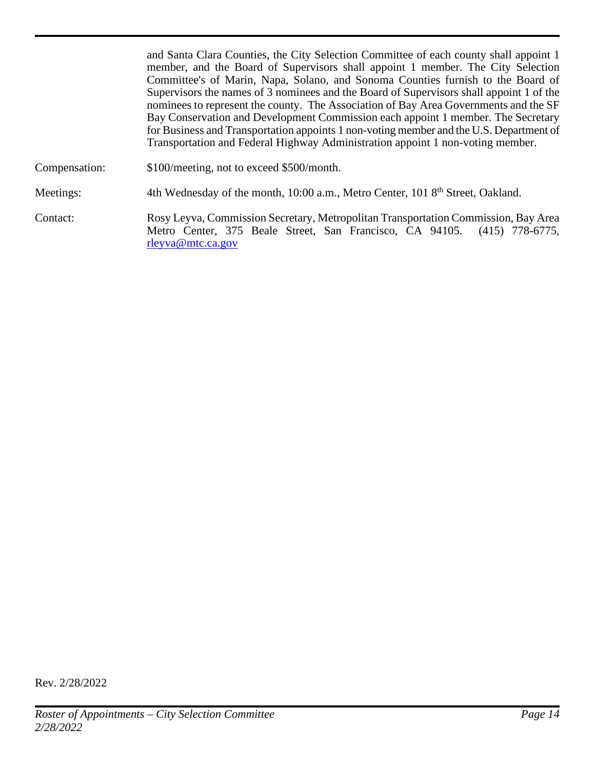|               | and Santa Clara Counties, the City Selection Committee of each county shall appoint 1<br>member, and the Board of Supervisors shall appoint 1 member. The City Selection<br>Committee's of Marin, Napa, Solano, and Sonoma Counties furnish to the Board of<br>Supervisors the names of 3 nominees and the Board of Supervisors shall appoint 1 of the<br>nominees to represent the county. The Association of Bay Area Governments and the SF<br>Bay Conservation and Development Commission each appoint 1 member. The Secretary<br>for Business and Transportation appoints 1 non-voting member and the U.S. Department of<br>Transportation and Federal Highway Administration appoint 1 non-voting member. |
|---------------|-----------------------------------------------------------------------------------------------------------------------------------------------------------------------------------------------------------------------------------------------------------------------------------------------------------------------------------------------------------------------------------------------------------------------------------------------------------------------------------------------------------------------------------------------------------------------------------------------------------------------------------------------------------------------------------------------------------------|
| Compensation: | \$100/meeting, not to exceed \$500/month.                                                                                                                                                                                                                                                                                                                                                                                                                                                                                                                                                                                                                                                                       |
| Meetings:     | 4th Wednesday of the month, 10:00 a.m., Metro Center, 101 8 <sup>th</sup> Street, Oakland.                                                                                                                                                                                                                                                                                                                                                                                                                                                                                                                                                                                                                      |
| Contact:      | Rosy Leyva, Commission Secretary, Metropolitan Transportation Commission, Bay Area<br>Metro Center, 375 Beale Street, San Francisco, CA 94105. (415) 778-6775,<br>rleyva@mtc.ca.gov                                                                                                                                                                                                                                                                                                                                                                                                                                                                                                                             |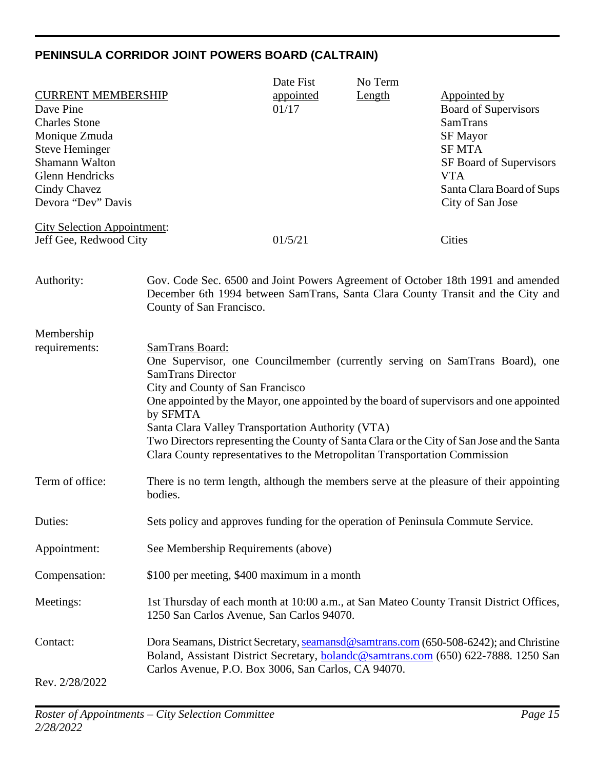## <span id="page-14-0"></span>**PENINSULA CORRIDOR JOINT POWERS BOARD (CALTRAIN)**

|                                                                                                                                                                                            |                                                                                                                                                                                                                                | Date Fist          | No Term |                                                                                                                                                                                                                                                                       |
|--------------------------------------------------------------------------------------------------------------------------------------------------------------------------------------------|--------------------------------------------------------------------------------------------------------------------------------------------------------------------------------------------------------------------------------|--------------------|---------|-----------------------------------------------------------------------------------------------------------------------------------------------------------------------------------------------------------------------------------------------------------------------|
| <b>CURRENT MEMBERSHIP</b><br>Dave Pine<br><b>Charles Stone</b><br>Monique Zmuda<br><b>Steve Heminger</b><br>Shamann Walton<br><b>Glenn Hendricks</b><br>Cindy Chavez<br>Devora "Dev" Davis |                                                                                                                                                                                                                                | appointed<br>01/17 | Length  | Appointed by<br><b>Board of Supervisors</b><br><b>SamTrans</b><br><b>SF Mayor</b><br><b>SFMTA</b><br>SF Board of Supervisors<br><b>VTA</b><br>Santa Clara Board of Sups<br>City of San Jose                                                                           |
| <b>City Selection Appointment:</b>                                                                                                                                                         |                                                                                                                                                                                                                                |                    |         |                                                                                                                                                                                                                                                                       |
| Jeff Gee, Redwood City                                                                                                                                                                     |                                                                                                                                                                                                                                | 01/5/21            |         | Cities                                                                                                                                                                                                                                                                |
| Authority:                                                                                                                                                                                 | County of San Francisco.                                                                                                                                                                                                       |                    |         | Gov. Code Sec. 6500 and Joint Powers Agreement of October 18th 1991 and amended<br>December 6th 1994 between SamTrans, Santa Clara County Transit and the City and                                                                                                    |
| Membership                                                                                                                                                                                 |                                                                                                                                                                                                                                |                    |         |                                                                                                                                                                                                                                                                       |
| requirements:                                                                                                                                                                              | SamTrans Board:<br><b>SamTrans Director</b><br>City and County of San Francisco<br>by SFMTA<br>Santa Clara Valley Transportation Authority (VTA)<br>Clara County representatives to the Metropolitan Transportation Commission |                    |         | One Supervisor, one Councilmember (currently serving on SamTrans Board), one<br>One appointed by the Mayor, one appointed by the board of supervisors and one appointed<br>Two Directors representing the County of Santa Clara or the City of San Jose and the Santa |
| Term of office:                                                                                                                                                                            | bodies.                                                                                                                                                                                                                        |                    |         | There is no term length, although the members serve at the pleasure of their appointing                                                                                                                                                                               |
| Duties:                                                                                                                                                                                    | Sets policy and approves funding for the operation of Peninsula Commute Service.                                                                                                                                               |                    |         |                                                                                                                                                                                                                                                                       |
| Appointment:                                                                                                                                                                               | See Membership Requirements (above)                                                                                                                                                                                            |                    |         |                                                                                                                                                                                                                                                                       |
| Compensation:                                                                                                                                                                              | \$100 per meeting, \$400 maximum in a month                                                                                                                                                                                    |                    |         |                                                                                                                                                                                                                                                                       |
| Meetings:                                                                                                                                                                                  | 1250 San Carlos Avenue, San Carlos 94070.                                                                                                                                                                                      |                    |         | 1st Thursday of each month at 10:00 a.m., at San Mateo County Transit District Offices,                                                                                                                                                                               |
| Contact:<br>Rev. 2/28/2022                                                                                                                                                                 | Carlos Avenue, P.O. Box 3006, San Carlos, CA 94070.                                                                                                                                                                            |                    |         | Dora Seamans, District Secretary, seamansd@samtrans.com (650-508-6242); and Christine<br>Boland, Assistant District Secretary, <b>bolandc@samtrans.com</b> (650) 622-7888. 1250 San                                                                                   |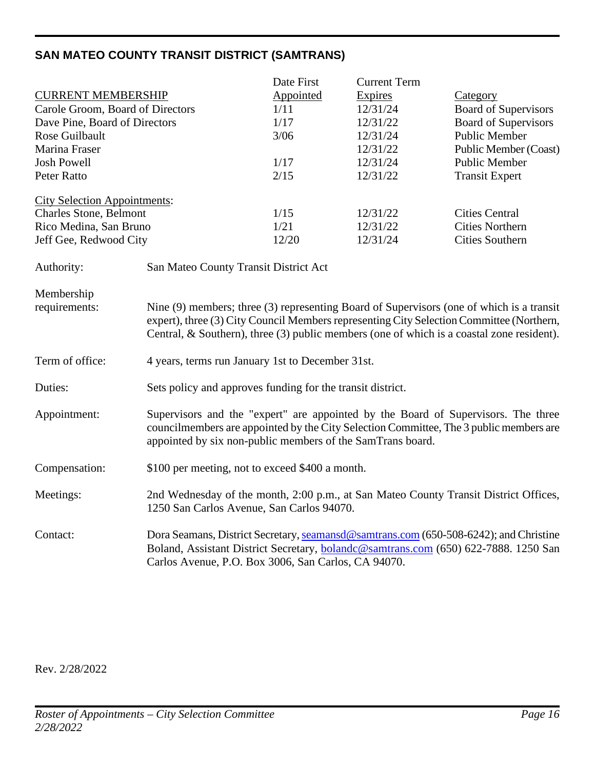## <span id="page-15-0"></span>**SAN MATEO COUNTY TRANSIT DISTRICT (SAMTRANS)**

|                                     |                                                                                              | Date First | <b>Current Term</b> |                             |
|-------------------------------------|----------------------------------------------------------------------------------------------|------------|---------------------|-----------------------------|
| <b>CURRENT MEMBERSHIP</b>           |                                                                                              | Appointed  | <b>Expires</b>      | Category                    |
| Carole Groom, Board of Directors    |                                                                                              | 1/11       | 12/31/24            | <b>Board of Supervisors</b> |
| Dave Pine, Board of Directors       |                                                                                              | 1/17       | 12/31/22            | <b>Board of Supervisors</b> |
| Rose Guilbault                      |                                                                                              | 3/06       | 12/31/24            | <b>Public Member</b>        |
| Marina Fraser                       |                                                                                              |            | 12/31/22            | Public Member (Coast)       |
| <b>Josh Powell</b>                  |                                                                                              | 1/17       | 12/31/24            | <b>Public Member</b>        |
| <b>Peter Ratto</b>                  |                                                                                              | 2/15       | 12/31/22            | <b>Transit Expert</b>       |
|                                     |                                                                                              |            |                     |                             |
| <b>City Selection Appointments:</b> |                                                                                              |            |                     |                             |
| <b>Charles Stone, Belmont</b>       |                                                                                              | 1/15       | 12/31/22            | <b>Cities Central</b>       |
| Rico Medina, San Bruno              |                                                                                              | 1/21       | 12/31/22            | <b>Cities Northern</b>      |
| Jeff Gee, Redwood City              |                                                                                              | 12/20      | 12/31/24            | <b>Cities Southern</b>      |
|                                     |                                                                                              |            |                     |                             |
| Authority:                          | San Mateo County Transit District Act                                                        |            |                     |                             |
|                                     |                                                                                              |            |                     |                             |
| Membership                          |                                                                                              |            |                     |                             |
| requirements:                       | Nine (9) members; three (3) representing Board of Supervisors (one of which is a transit     |            |                     |                             |
|                                     | expert), three (3) City Council Members representing City Selection Committee (Northern,     |            |                     |                             |
|                                     | Central, $\&$ Southern), three (3) public members (one of which is a coastal zone resident). |            |                     |                             |
|                                     |                                                                                              |            |                     |                             |
| Term of office:                     | 4 years, terms run January 1st to December 31st.                                             |            |                     |                             |
|                                     |                                                                                              |            |                     |                             |
| Duties:                             | Sets policy and approves funding for the transit district.                                   |            |                     |                             |
|                                     |                                                                                              |            |                     |                             |
| Appointment:                        | Supervisors and the "expert" are appointed by the Board of Supervisors. The three            |            |                     |                             |
|                                     | councilmembers are appointed by the City Selection Committee, The 3 public members are       |            |                     |                             |
|                                     | appointed by six non-public members of the SamTrans board.                                   |            |                     |                             |
|                                     |                                                                                              |            |                     |                             |
| Compensation:                       | \$100 per meeting, not to exceed \$400 a month.                                              |            |                     |                             |
|                                     |                                                                                              |            |                     |                             |
| Meetings:                           | 2nd Wednesday of the month, 2:00 p.m., at San Mateo County Transit District Offices,         |            |                     |                             |
|                                     | 1250 San Carlos Avenue, San Carlos 94070.                                                    |            |                     |                             |
|                                     |                                                                                              |            |                     |                             |
| Contact:                            | Dora Seamans, District Secretary, seamansd@samtrans.com (650-508-6242); and Christine        |            |                     |                             |
|                                     | Boland, Assistant District Secretary, bolandc@samtrans.com (650) 622-7888. 1250 San          |            |                     |                             |
|                                     | Carlos Avenue, P.O. Box 3006, San Carlos, CA 94070.                                          |            |                     |                             |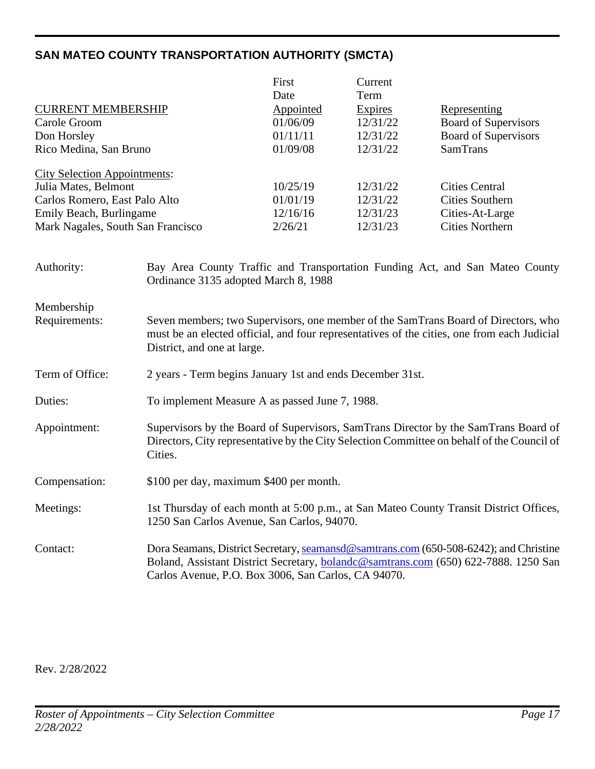## <span id="page-16-0"></span>**SAN MATEO COUNTY TRANSPORTATION AUTHORITY (SMCTA)**

|                                     | First     | Current        |                             |
|-------------------------------------|-----------|----------------|-----------------------------|
|                                     | Date      | Term           |                             |
| <b>CURRENT MEMBERSHIP</b>           | Appointed | <b>Expires</b> | Representing                |
| Carole Groom                        | 01/06/09  | 12/31/22       | Board of Supervisors        |
| Don Horsley                         | 01/11/11  | 12/31/22       | <b>Board of Supervisors</b> |
| Rico Medina, San Bruno              | 01/09/08  | 12/31/22       | <b>SamTrans</b>             |
| <b>City Selection Appointments:</b> |           |                |                             |
| Julia Mates, Belmont                | 10/25/19  | 12/31/22       | <b>Cities Central</b>       |
| Carlos Romero, East Palo Alto       | 01/01/19  | 12/31/22       | Cities Southern             |
| Emily Beach, Burlingame             | 12/16/16  | 12/31/23       | Cities-At-Large             |
| Mark Nagales, South San Francisco   | 2/26/21   | 12/31/23       | <b>Cities Northern</b>      |

| Authority:      | Bay Area County Traffic and Transportation Funding Act, and San Mateo County<br>Ordinance 3135 adopted March 8, 1988                                                                                                                |
|-----------------|-------------------------------------------------------------------------------------------------------------------------------------------------------------------------------------------------------------------------------------|
| Membership      |                                                                                                                                                                                                                                     |
| Requirements:   | Seven members; two Supervisors, one member of the SamTrans Board of Directors, who<br>must be an elected official, and four representatives of the cities, one from each Judicial<br>District, and one at large.                    |
| Term of Office: | 2 years - Term begins January 1st and ends December 31st.                                                                                                                                                                           |
| Duties:         | To implement Measure A as passed June 7, 1988.                                                                                                                                                                                      |
| Appointment:    | Supervisors by the Board of Supervisors, SamTrans Director by the SamTrans Board of<br>Directors, City representative by the City Selection Committee on behalf of the Council of<br>Cities.                                        |
| Compensation:   | \$100 per day, maximum \$400 per month.                                                                                                                                                                                             |
| Meetings:       | 1st Thursday of each month at 5:00 p.m., at San Mateo County Transit District Offices,<br>1250 San Carlos Avenue, San Carlos, 94070.                                                                                                |
| Contact:        | Dora Seamans, District Secretary, seamansd@samtrans.com (650-508-6242); and Christine<br>Boland, Assistant District Secretary, bolandc@samtrans.com (650) 622-7888. 1250 San<br>Carlos Avenue, P.O. Box 3006, San Carlos, CA 94070. |